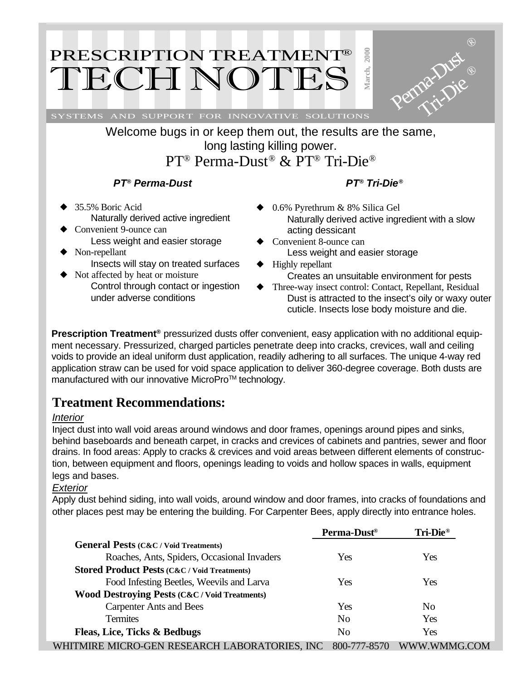# PRESCRIPTION TREATMENT® TECH NOTE

SYSTEMS AND SUPPORT FOR INNOVATIVE SOLUTIONS

Welcome bugs in or keep them out, the results are the same, long lasting killing power. PT® Perma-Dust® & PT® Tri-Die®

#### *PT® Perma-Dust*

- ◆ 35.5% Boric Acid Naturally derived active ingredient
- Convenient 9-ounce can Less weight and easier storage Non-repellant
	- Insects will stay on treated surfaces
- ◆ Not affected by heat or moisture Control through contact or ingestion under adverse conditions
- *PT® Tri-Die®*
- ◆ 0.6% Pyrethrum & 8% Silica Gel Naturally derived active ingredient with a slow acting dessicant

**March, 2000**

Perma-Dust

Tri-Die

- Convenient 8-ounce can Less weight and easier storage
- ◆ Highly repellant Creates an unsuitable environment for pests
- ◆ Three-way insect control: Contact, Repellant, Residual Dust is attracted to the insect's oily or waxy outer cuticle. Insects lose body moisture and die.

**Prescription Treatment®** pressurized dusts offer convenient, easy application with no additional equipment necessary. Pressurized, charged particles penetrate deep into cracks, crevices, wall and ceiling voids to provide an ideal uniform dust application, readily adhering to all surfaces. The unique 4-way red application straw can be used for void space application to deliver 360-degree coverage. Both dusts are manufactured with our innovative MicroPro™ technology.

### **Treatment Recommendations:**

#### *Interior*

Inject dust into wall void areas around windows and door frames, openings around pipes and sinks, behind baseboards and beneath carpet, in cracks and crevices of cabinets and pantries, sewer and floor drains. In food areas: Apply to cracks & crevices and void areas between different elements of construction, between equipment and floors, openings leading to voids and hollow spaces in walls, equipment legs and bases.

#### *Exterior*

Apply dust behind siding, into wall voids, around window and door frames, into cracks of foundations and other places pest may be entering the building. For Carpenter Bees, apply directly into entrance holes.

|                                                          | Perma-Dust <sup>®</sup> | Tri-Die <sup>®</sup> |
|----------------------------------------------------------|-------------------------|----------------------|
| <b>General Pests (C&amp;C / Void Treatments)</b>         |                         |                      |
| Roaches, Ants, Spiders, Occasional Invaders              | Yes                     | Yes                  |
| <b>Stored Product Pests (C&amp;C / Void Treatments)</b>  |                         |                      |
| Food Infesting Beetles, Weevils and Larva                | Yes                     | Yes                  |
| <b>Wood Destroying Pests (C&amp;C / Void Treatments)</b> |                         |                      |
| <b>Carpenter Ants and Bees</b>                           | Yes                     | N <sub>0</sub>       |
| <b>Termites</b>                                          | N <sub>0</sub>          | Yes                  |
| Fleas, Lice, Ticks & Bedbugs                             | N <sub>0</sub>          | Yes                  |
| WHITMIRE MICRO-GEN RESEARCH LABORATORIES, INC            | 800-777-8570            | WWW.WMMG.COM         |